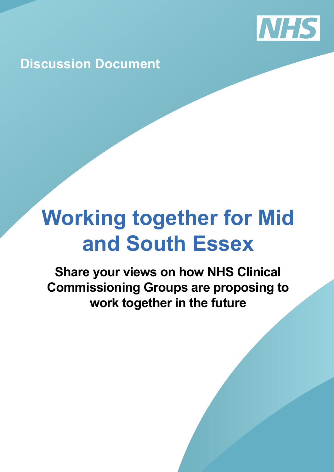

**Discussion Document**

# **Working together for Mid and South Essex**

**Share your views on how NHS Clinical Commissioning Groups are proposing to work together in the future**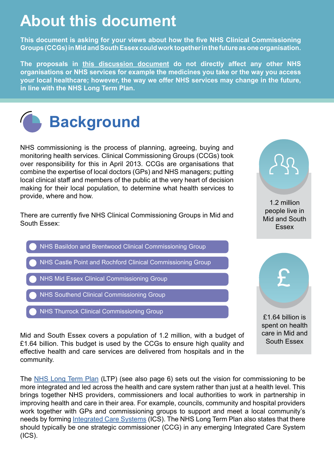## **About this document**

**This document is asking for your views about how the five NHS Clinical Commissioning Groups (CCGs) in Mid and South Essex could work together in the future as one organisation.** 

**The proposals in this discussion document do not directly affect any other NHS organisations or NHS services for example the medicines you take or the way you access your local healthcare; however, the way we offer NHS services may change in the future, in line with the NHS Long Term Plan.**



NHS commissioning is the process of planning, agreeing, buying and monitoring health services. Clinical Commissioning Groups (CCGs) took over responsibility for this in April 2013. CCGs are organisations that combine the expertise of local doctors (GPs) and NHS managers; putting local clinical staff and members of the public at the very heart of decision making for their local population, to determine what health services to provide, where and how.

There are currently five NHS Clinical Commissioning Groups in Mid and South Essex:



1.2 million people live in Mid and South **Essex** 

£1.64 billion is spent on health care in Mid and South Essex

£

Mid and South Essex covers a population of 1.2 million, with a budget of £1.64 billion. This budget is used by the CCGs to ensure high quality and effective health and care services are delivered from hospitals and in the community.

The [NHS Long Term Plan](https://www.longtermplan.nhs.uk/) (LTP) (see also page 6) sets out the vision for commissioning to be more integrated and led across the health and care system rather than just at a health level. This brings together NHS providers, commissioners and local authorities to work in partnership in improving health and care in their area. For example, councils, community and hospital providers work together with GPs and commissioning groups to support and meet a local community's needs by forming [Integrated Care Systems](https://www.england.nhs.uk/integratedcare/integrated-care-systems/) (ICS). The NHS Long Term Plan also states that there should typically be one strategic commissioner (CCG) in any emerging Integrated Care System  $(ICS)$ .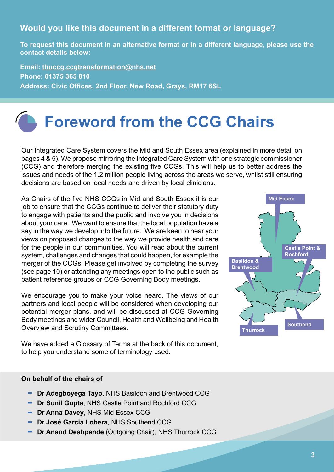#### **Would you like this document in a different format or language?**

**To request this document in an alternative format or in a different language, please use the contact details below:**

**Email: [thuccg.ccgtransformation@nhs.net](http://thuccg.ccgtransformation@nhs.net) Phone: 01375 365 810 Address: Civic Offices, 2nd Floor, New Road, Grays, RM17 6SL**

## **Foreword from the CCG Chairs**

Our Integrated Care System covers the Mid and South Essex area (explained in more detail on pages 4 & 5). We propose mirroring the Integrated Care System with one strategic commissioner (CCG) and therefore merging the existing five CCGs. This will help us to better address the issues and needs of the 1.2 million people living across the areas we serve, whilst still ensuring decisions are based on local needs and driven by local clinicians.

As Chairs of the five NHS CCGs in Mid and South Essex it is our job to ensure that the CCGs continue to deliver their statutory duty to engage with patients and the public and involve you in decisions about your care. We want to ensure that the local population have a say in the way we develop into the future. We are keen to hear your views on proposed changes to the way we provide health and care for the people in our communities. You will read about the current system, challenges and changes that could happen, for example the merger of the CCGs. Please get involved by completing the survey (see page 10) or attending any meetings open to the public such as patient reference groups or CCG Governing Body meetings.

We encourage you to make your voice heard. The views of our partners and local people will be considered when developing our potential merger plans, and will be discussed at CCG Governing Body meetings and wider Council, Health and Wellbeing and Health Overview and Scrutiny Committees.

We have added a Glossary of Terms at the back of this document, to help you understand some of terminology used.



#### **On behalf of the chairs of**

- **Dr Adegboyega Tayo**, NHS Basildon and Brentwood CCG
- **Dr Sunil Gupta**, NHS Castle Point and Rochford CCG
- **Dr Anna Davey**, NHS Mid Essex CCG
- **Dr José Garcia Lobera**, NHS Southend CCG
- **Dr Anand Deshpande** (Outgoing Chair), NHS Thurrock CCG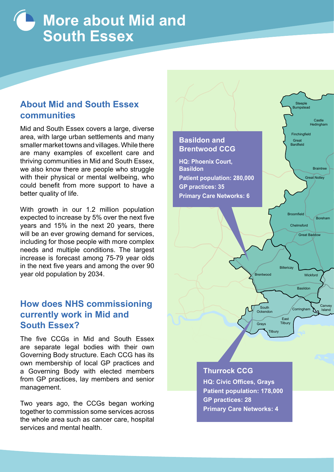## **More about Mid and South Essex**

### **About Mid and South Essex communities**

Mid and South Essex covers a large, diverse area, with large urban settlements and many smaller market towns and villages. While there are many examples of excellent care and thriving communities in Mid and South Essex, we also know there are people who struggle with their physical or mental wellbeing, who could benefit from more support to have a better quality of life.

With growth in our 1.2 million population expected to increase by 5% over the next five years and 15% in the next 20 years, there will be an ever growing demand for services, including for those people with more complex needs and multiple conditions. The largest increase is forecast among 75-79 year olds in the next five years and among the over 90 year old population by 2034.

### **How does NHS commissioning currently work in Mid and South Essex?**

The five CCGs in Mid and South Essex are separate legal bodies with their own Governing Body structure. Each CCG has its own membership of local GP practices and a Governing Body with elected members from GP practices, lay members and senior management.

Two years ago, the CCGs began working together to commission some services across the whole area such as cancer care, hospital services and mental health.

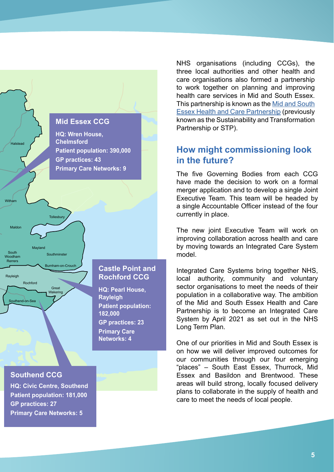

NHS organisations (including CCGs), the three local authorities and other health and care organisations also formed a partnership to work together on planning and improving health care services in Mid and South Essex. This partnership is known as the [Mid and South](https://www.msehealthandcarepartnership.co.uk/) [Essex Health and Care Partnership](https://www.msehealthandcarepartnership.co.uk/) (previously known as the Sustainability and Transformation Partnership or STP).

### **How might commissioning look in the future?**

The five Governing Bodies from each CCG have made the decision to work on a formal merger application and to develop a single Joint Executive Team. This team will be headed by a single Accountable Officer instead of the four currently in place.

The new joint Executive Team will work on improving collaboration across health and care by moving towards an Integrated Care System model.

Integrated Care Systems bring together NHS, local authority, community and voluntary sector organisations to meet the needs of their population in a collaborative way. The ambition of the Mid and South Essex Health and Care Partnership is to become an Integrated Care System by April 2021 as set out in the [NHS](http://NHS Long Term Plan)  [Long Term Plan](http://NHS Long Term Plan).

One of our priorities in Mid and South Essex is on how we will deliver improved outcomes for our communities through our four emerging "places" – South East Essex, Thurrock, Mid Essex and Basildon and Brentwood. These areas will build strong, locally focused delivery plans to collaborate in the supply of health and care to meet the needs of local people.

#### **Southend CCG**

**[HQ: Civic Centre, Southend](https://southendccg.nhs.uk/) Patient population: 181,000 GP practices: 27 Primary Care Networks: 5**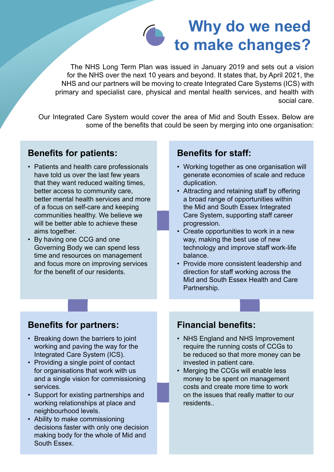

The NHS Long Term Plan was issued in January 2019 and sets out a vision for the NHS over the next 10 years and beyond. It states that, by April 2021, the NHS and our partners will be moving to create Integrated Care Systems (ICS) with primary and specialist care, physical and mental health services, and health with social care.

Our Integrated Care System would cover the area of Mid and South Essex. Below are some of the benefits that could be seen by merging into one organisation:

### **Benefits for patients:**

- Patients and health care professionals have told us over the last few years that they want reduced waiting times, better access to community care, better mental health services and more of a focus on self-care and keeping communities healthy. We believe we will be better able to achieve these aims together.
- By having one CCG and one Governing Body we can spend less time and resources on management and focus more on improving services for the benefit of our residents.

#### **Benefits for staff:**

- Working together as one organisation will generate economies of scale and reduce duplication.
- Attracting and retaining staff by offering a broad range of opportunities within the Mid and South Essex Integrated Care System, supporting staff career progression.
- Create opportunities to work in a new way, making the best use of new technology and improve staff work-life balance.
- Provide more consistent leadership and direction for staff working across the Mid and South Essex Health and Care Partnership.

#### **Benefits for partners:**

- Breaking down the barriers to joint working and paving the way for the Integrated Care System (ICS).
- Providing a single point of contact for organisations that work with us and a single vision for commissioning services.
- Support for existing partnerships and working relationships at place and neighbourhood levels.
- Ability to make commissioning decisions faster with only one decision making body for the whole of Mid and South Essex.

### **Financial benefits:**

- NHS England and NHS Improvement require the running costs of CCGs to be reduced so that more money can be invested in patient care.
- Merging the CCGs will enable less money to be spent on management costs and create more time to work on the issues that really matter to our **residents**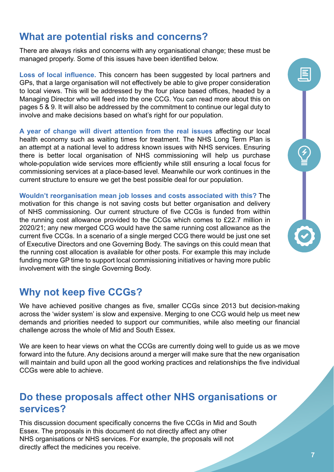## **What are potential risks and concerns?**

There are always risks and concerns with any organisational change; these must be managed properly. Some of this issues have been identified below.

**Loss of local influence.** This concern has been suggested by local partners and GPs, that a large organisation will not effectively be able to give proper consideration to local views. This will be addressed by the four place based offices, headed by a Managing Director who will feed into the one CCG. You can read more about this on pages 5 & 9. It will also be addressed by the commitment to continue our legal duty to involve and make decisions based on what's right for our population.

**A year of change will divert attention from the real issues** affecting our local health economy such as waiting times for treatment. The NHS Long Term Plan is an attempt at a national level to address known issues with NHS services. Ensuring there is better local organisation of NHS commissioning will help us purchase whole-population wide services more efficiently while still ensuring a local focus for commissioning services at a place-based level. Meanwhile our work continues in the current structure to ensure we get the best possible deal for our population.

**Wouldn't reorganisation mean job losses and costs associated with this?** The motivation for this change is not saving costs but better organisation and delivery of NHS commissioning. Our current structure of five CCGs is funded from within the running cost allowance provided to the CCGs which comes to £22.7 million in 2020/21; any new merged CCG would have the same running cost allowance as the current five CCGs. In a scenario of a single merged CCG there would be just one set of Executive Directors and one Governing Body. The savings on this could mean that the running cost allocation is available for other posts. For example this may include funding more GP time to support local commissioning initiatives or having more public involvement with the single Governing Body.

## **Why not keep five CCGs?**

We have achieved positive changes as five, smaller CCGs since 2013 but decision-making across the 'wider system' is slow and expensive. Merging to one CCG would help us meet new demands and priorities needed to support our communities, while also meeting our financial challenge across the whole of Mid and South Essex.

We are keen to hear views on what the CCGs are currently doing well to guide us as we move forward into the future. Any decisions around a merger will make sure that the new organisation will maintain and build upon all the good working practices and relationships the five individual CCGs were able to achieve.

## **Do these proposals affect other NHS organisations or services?**

This discussion document specifically concerns the five CCGs in Mid and South Essex. The proposals in this document do not directly affect any other NHS organisations or NHS services. For example, the proposals will not directly affect the medicines you receive.

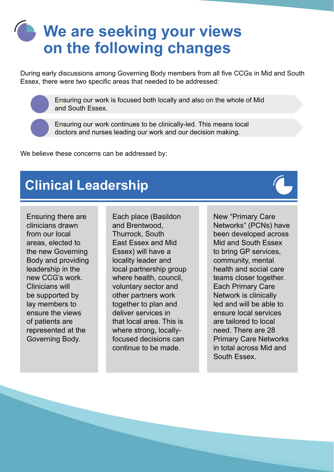## **We are seeking your views on the following changes**

During early discussions among Governing Body members from all five CCGs in Mid and South Essex, there were two specific areas that needed to be addressed:

> Ensuring our work is focused both locally and also on the whole of Mid and South Essex.

Ensuring our work continues to be clinically-led. This means local doctors and nurses leading our work and our decision making.

We believe these concerns can be addressed by:

## **Clinical Leadership**

Ensuring there are clinicians drawn from our local areas, elected to the new Governing Body and providing leadership in the new CCG's work. Clinicians will be supported by lay members to ensure the views of patients are represented at the Governing Body.

Each place (Basildon and Brentwood, Thurrock, South East Essex and Mid Essex) will have a locality leader and local partnership group where health, council, voluntary sector and other partners work together to plan and deliver services in that local area. This is where strong, locallyfocused decisions can continue to be made.

New "Primary Care Networks" (PCNs) have been developed across Mid and South Essex to bring GP services, community, mental health and social care teams closer together. Each Primary Care Network is clinically led and will be able to ensure local services are tailored to local need. There are 28 Primary Care Networks in total across Mid and South Essex.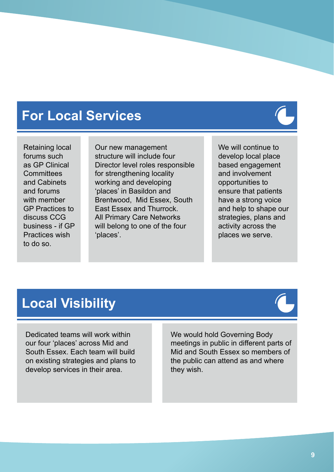## **For Local Services**

Retaining local forums such as GP Clinical **Committees** and Cabinets and forums with member GP Practices to discuss CCG business - if GP Practices wish to do so.

Our new management structure will include four Director level roles responsible for strengthening locality working and developing 'places' in Basildon and Brentwood, Mid Essex, South East Essex and Thurrock. All Primary Care Networks will belong to one of the four 'places'.

We will continue to develop local place based engagement and involvement opportunities to ensure that patients have a strong voice and help to shape our strategies, plans and activity across the places we serve.

## **Local Visibility**

Dedicated teams will work within our four 'places' across Mid and South Essex. Each team will build on existing strategies and plans to develop services in their area.

We would hold Governing Body meetings in public in different parts of Mid and South Essex so members of the public can attend as and where they wish.



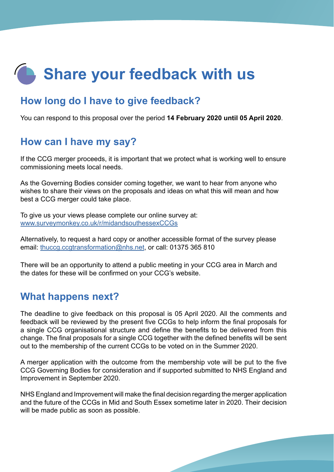## **Share your feedback with us**

## **How long do I have to give feedback?**

You can respond to this proposal over the period **14 February 2020 until 05 April 2020**.

## **How can I have my say?**

If the CCG merger proceeds, it is important that we protect what is working well to ensure commissioning meets local needs.

As the Governing Bodies consider coming together, we want to hear from anyone who wishes to share their views on the proposals and ideas on what this will mean and how best a CCG merger could take place.

To give us your views please complete our online survey at: [www.surveymonkey.co.uk/r/midandsouthessexCCGs](https://www.surveymonkey.co.uk/r/midandsouthessexCCGs)

Alternatively, to request a hard copy or another accessible format of the survey please email: [thuccg.ccgtransformation@nhs.net](http://thuccg.ccgtransformation@nhs.net), or call: 01375 365 810

There will be an opportunity to attend a public meeting in your CCG area in March and the dates for these will be confirmed on your CCG's website.

### **What happens next?**

The deadline to give feedback on this proposal is 05 April 2020. All the comments and feedback will be reviewed by the present five CCGs to help inform the final proposals for a single CCG organisational structure and define the benefits to be delivered from this change. The final proposals for a single CCG together with the defined benefits will be sent out to the membership of the current CCGs to be voted on in the Summer 2020.

A merger application with the outcome from the membership vote will be put to the five CCG Governing Bodies for consideration and if supported submitted to NHS England and Improvement in September 2020.

NHS England and Improvement will make the final decision regarding the merger application and the future of the CCGs in Mid and South Essex sometime later in 2020. Their decision will be made public as soon as possible.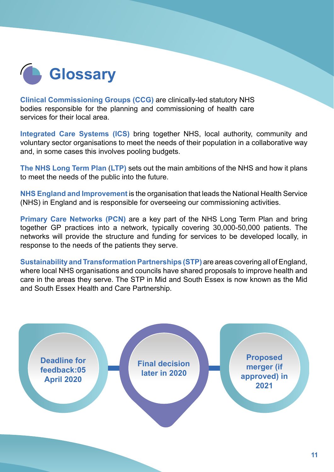

**[Clinical Commissioning Groups \(CCG\)](https://www.england.nhs.uk/ccgs/)** are clinically-led statutory NHS bodies responsible for the planning and commissioning of health care services for their local area.

**[Integrated Care Systems \(ICS\)](https://www.england.nhs.uk/integratedcare/integrated-care-systems/)** bring together NHS, local authority, community and voluntary sector organisations to meet the needs of their population in a collaborative way and, in some cases this involves pooling budgets.

**[The NHS Long Term Plan](https://www.longtermplan.nhs.uk/)** (**LTP)** sets out the main ambitions of the NHS and how it plans to meet the needs of the public into the future.

**[NHS England and Improvement](https://www.england.nhs.uk/about/about-nhs-england/)** is the organisation that leads the National Health Service (NHS) in England and is responsible for overseeing our commissioning activities.

**[Primary Care Networks](https://www.england.nhs.uk/primary-care/primary-care-networks/) (PCN)** are a key part of the NHS Long Term Plan and bring together GP practices into a network, typically covering 30,000-50,000 patients. The networks will provide the structure and funding for services to be developed locally, in response to the needs of the patients they serve.

**[Sustainability and Transformation Partnerships](https://www.england.nhs.uk/integratedcare/stps/) (STP)** are areas covering all of England, where local NHS organisations and councils have shared proposals to improve health and care in the areas they serve. The STP in Mid and South Essex is now known as the Mid and South Essex Health and Care Partnership.